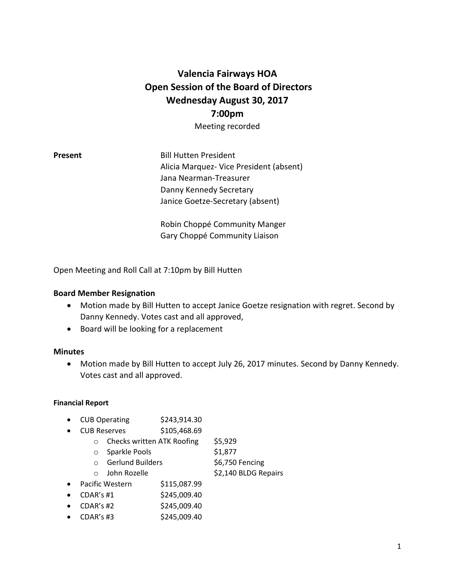# **Valencia Fairways HOA Open Session of the Board of Directors Wednesday August 30, 2017 7:00pm** Meeting recorded

**Present** Bill Hutten President Alicia Marquez- Vice President (absent) Jana Nearman-Treasurer Danny Kennedy Secretary Janice Goetze-Secretary (absent)

> Robin Choppé Community Manger Gary Choppé Community Liaison

Open Meeting and Roll Call at 7:10pm by Bill Hutten

## **Board Member Resignation**

- Motion made by Bill Hutten to accept Janice Goetze resignation with regret. Second by Danny Kennedy. Votes cast and all approved,
- Board will be looking for a replacement

### **Minutes**

• Motion made by Bill Hutten to accept July 26, 2017 minutes. Second by Danny Kennedy. Votes cast and all approved.

### **Financial Report**

- CUB Operating \$243,914.30
- CUB Reserves \$105,468.69
	- o Checks written ATK Roofing \$5,929
	- o Sparkle Pools \$1,877
	- o Gerlund Builders \$6,750 Fencing
	- o John Rozelle \$2,140 BLDG Repairs
- Pacific Western \$115,087.99
- $CDAR's #1$   $$245,009.40$
- $CDAR's #2$  \$245,009.40
- $CDAR's #3$  \$245,009.40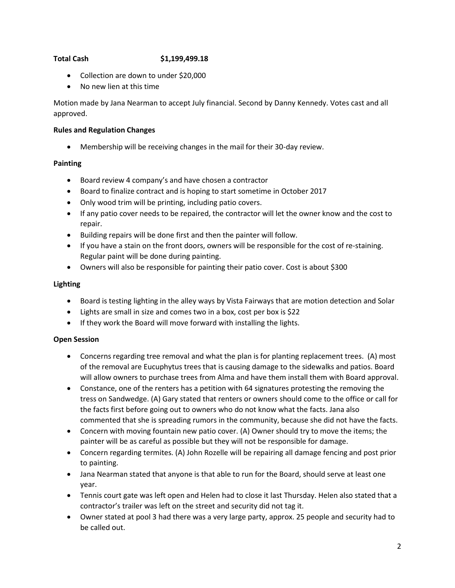# **Total Cash \$1,199,499.18**

- Collection are down to under \$20,000
- No new lien at this time

Motion made by Jana Nearman to accept July financial. Second by Danny Kennedy. Votes cast and all approved.

### **Rules and Regulation Changes**

• Membership will be receiving changes in the mail for their 30-day review.

### **Painting**

- Board review 4 company's and have chosen a contractor
- Board to finalize contract and is hoping to start sometime in October 2017
- Only wood trim will be printing, including patio covers.
- If any patio cover needs to be repaired, the contractor will let the owner know and the cost to repair.
- Building repairs will be done first and then the painter will follow.
- If you have a stain on the front doors, owners will be responsible for the cost of re-staining. Regular paint will be done during painting.
- Owners will also be responsible for painting their patio cover. Cost is about \$300

### **Lighting**

- Board is testing lighting in the alley ways by Vista Fairways that are motion detection and Solar
- Lights are small in size and comes two in a box, cost per box is \$22
- If they work the Board will move forward with installing the lights.

# **Open Session**

- Concerns regarding tree removal and what the plan is for planting replacement trees. (A) most of the removal are Eucuphytus trees that is causing damage to the sidewalks and patios. Board will allow owners to purchase trees from Alma and have them install them with Board approval.
- Constance, one of the renters has a petition with 64 signatures protesting the removing the tress on Sandwedge. (A) Gary stated that renters or owners should come to the office or call for the facts first before going out to owners who do not know what the facts. Jana also commented that she is spreading rumors in the community, because she did not have the facts.
- Concern with moving fountain new patio cover. (A) Owner should try to move the items; the painter will be as careful as possible but they will not be responsible for damage.
- Concern regarding termites. (A) John Rozelle will be repairing all damage fencing and post prior to painting.
- Jana Nearman stated that anyone is that able to run for the Board, should serve at least one year.
- Tennis court gate was left open and Helen had to close it last Thursday. Helen also stated that a contractor's trailer was left on the street and security did not tag it.
- Owner stated at pool 3 had there was a very large party, approx. 25 people and security had to be called out.